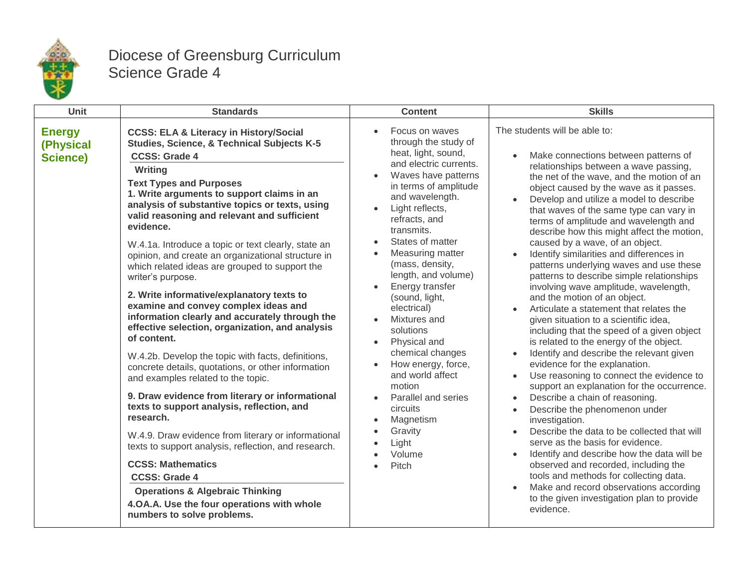

## Diocese of Greensburg Curriculum Science Grade 4

| <b>Unit</b>                                   | <b>Standards</b>                                                                                                                                                                                                                                                                                                                                                                                                                                                                                                                                                                                                                                                                                                                                                                                                                                                                                                                                                                                                                                                                                                                                                                                                                                                                           | <b>Content</b>                                                                                                                                                                                                                                                                                                                                                                                                                                                                                                                                                              | <b>Skills</b>                                                                                                                                                                                                                                                                                                                                                                                                                                                                                                                                                                                                                                                                                                                                                                                                                                                                                                                                                                                                                                                                                                                                                                                                                                                                                                                                                                                        |
|-----------------------------------------------|--------------------------------------------------------------------------------------------------------------------------------------------------------------------------------------------------------------------------------------------------------------------------------------------------------------------------------------------------------------------------------------------------------------------------------------------------------------------------------------------------------------------------------------------------------------------------------------------------------------------------------------------------------------------------------------------------------------------------------------------------------------------------------------------------------------------------------------------------------------------------------------------------------------------------------------------------------------------------------------------------------------------------------------------------------------------------------------------------------------------------------------------------------------------------------------------------------------------------------------------------------------------------------------------|-----------------------------------------------------------------------------------------------------------------------------------------------------------------------------------------------------------------------------------------------------------------------------------------------------------------------------------------------------------------------------------------------------------------------------------------------------------------------------------------------------------------------------------------------------------------------------|------------------------------------------------------------------------------------------------------------------------------------------------------------------------------------------------------------------------------------------------------------------------------------------------------------------------------------------------------------------------------------------------------------------------------------------------------------------------------------------------------------------------------------------------------------------------------------------------------------------------------------------------------------------------------------------------------------------------------------------------------------------------------------------------------------------------------------------------------------------------------------------------------------------------------------------------------------------------------------------------------------------------------------------------------------------------------------------------------------------------------------------------------------------------------------------------------------------------------------------------------------------------------------------------------------------------------------------------------------------------------------------------------|
| <b>Energy</b><br>(Physical<br><b>Science)</b> | <b>CCSS: ELA &amp; Literacy in History/Social</b><br>Studies, Science, & Technical Subjects K-5<br><b>CCSS: Grade 4</b><br>Writing<br><b>Text Types and Purposes</b><br>1. Write arguments to support claims in an<br>analysis of substantive topics or texts, using<br>valid reasoning and relevant and sufficient<br>evidence.<br>W.4.1a. Introduce a topic or text clearly, state an<br>opinion, and create an organizational structure in<br>which related ideas are grouped to support the<br>writer's purpose.<br>2. Write informative/explanatory texts to<br>examine and convey complex ideas and<br>information clearly and accurately through the<br>effective selection, organization, and analysis<br>of content.<br>W.4.2b. Develop the topic with facts, definitions,<br>concrete details, quotations, or other information<br>and examples related to the topic.<br>9. Draw evidence from literary or informational<br>texts to support analysis, reflection, and<br>research.<br>W.4.9. Draw evidence from literary or informational<br>texts to support analysis, reflection, and research.<br><b>CCSS: Mathematics</b><br><b>CCSS: Grade 4</b><br><b>Operations &amp; Algebraic Thinking</b><br>4.OA.A. Use the four operations with whole<br>numbers to solve problems. | Focus on waves<br>through the study of<br>heat, light, sound,<br>and electric currents.<br>Waves have patterns<br>in terms of amplitude<br>and wavelength.<br>Light reflects,<br>refracts, and<br>transmits.<br>States of matter<br>Measuring matter<br>(mass, density,<br>length, and volume)<br>Energy transfer<br>$\bullet$<br>(sound, light,<br>electrical)<br>Mixtures and<br>solutions<br>Physical and<br>chemical changes<br>How energy, force,<br>and world affect<br>motion<br>Parallel and series<br>circuits<br>Magnetism<br>Gravity<br>Light<br>Volume<br>Pitch | The students will be able to:<br>Make connections between patterns of<br>relationships between a wave passing,<br>the net of the wave, and the motion of an<br>object caused by the wave as it passes.<br>Develop and utilize a model to describe<br>that waves of the same type can vary in<br>terms of amplitude and wavelength and<br>describe how this might affect the motion,<br>caused by a wave, of an object.<br>Identify similarities and differences in<br>patterns underlying waves and use these<br>patterns to describe simple relationships<br>involving wave amplitude, wavelength,<br>and the motion of an object.<br>Articulate a statement that relates the<br>given situation to a scientific idea,<br>including that the speed of a given object<br>is related to the energy of the object.<br>Identify and describe the relevant given<br>evidence for the explanation.<br>Use reasoning to connect the evidence to<br>support an explanation for the occurrence.<br>Describe a chain of reasoning.<br>Describe the phenomenon under<br>investigation.<br>Describe the data to be collected that will<br>serve as the basis for evidence.<br>Identify and describe how the data will be<br>observed and recorded, including the<br>tools and methods for collecting data.<br>Make and record observations according<br>to the given investigation plan to provide<br>evidence. |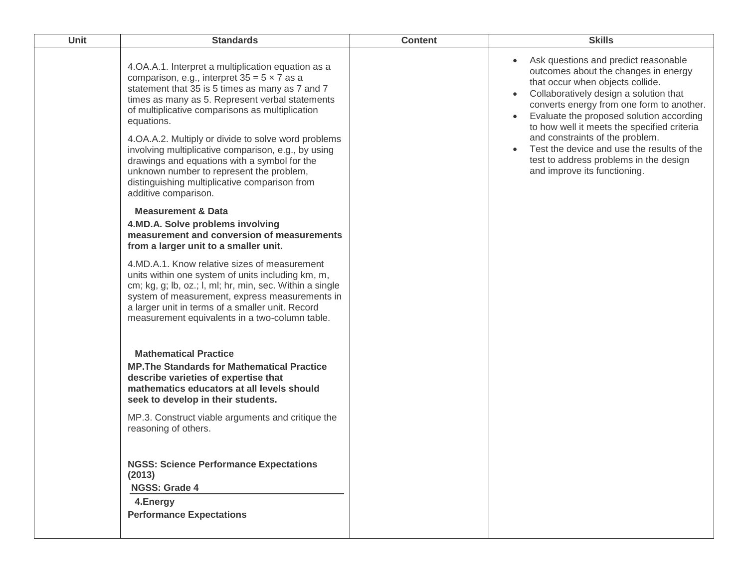| <b>Unit</b> | <b>Standards</b>                                                                                                                                                                                                                                                                                                                                                                                                                                                                                                                                                                                                                                                                                                                                                                                                                                                                                                                                                                                                                                                                                                                                                                                                                                                                                                                                                                                                                                                                         | <b>Content</b> | <b>Skills</b>                                                                                                                                                                                                                                                                                                                                                                                                                                                              |
|-------------|------------------------------------------------------------------------------------------------------------------------------------------------------------------------------------------------------------------------------------------------------------------------------------------------------------------------------------------------------------------------------------------------------------------------------------------------------------------------------------------------------------------------------------------------------------------------------------------------------------------------------------------------------------------------------------------------------------------------------------------------------------------------------------------------------------------------------------------------------------------------------------------------------------------------------------------------------------------------------------------------------------------------------------------------------------------------------------------------------------------------------------------------------------------------------------------------------------------------------------------------------------------------------------------------------------------------------------------------------------------------------------------------------------------------------------------------------------------------------------------|----------------|----------------------------------------------------------------------------------------------------------------------------------------------------------------------------------------------------------------------------------------------------------------------------------------------------------------------------------------------------------------------------------------------------------------------------------------------------------------------------|
|             | 4.OA.A.1. Interpret a multiplication equation as a<br>comparison, e.g., interpret $35 = 5 \times 7$ as a<br>statement that 35 is 5 times as many as 7 and 7<br>times as many as 5. Represent verbal statements<br>of multiplicative comparisons as multiplication<br>equations.<br>4.OA.A.2. Multiply or divide to solve word problems<br>involving multiplicative comparison, e.g., by using<br>drawings and equations with a symbol for the<br>unknown number to represent the problem,<br>distinguishing multiplicative comparison from<br>additive comparison.<br><b>Measurement &amp; Data</b><br>4.MD.A. Solve problems involving<br>measurement and conversion of measurements<br>from a larger unit to a smaller unit.<br>4.MD.A.1. Know relative sizes of measurement<br>units within one system of units including km, m,<br>cm; kg, g; lb, oz.; l, ml; hr, min, sec. Within a single<br>system of measurement, express measurements in<br>a larger unit in terms of a smaller unit. Record<br>measurement equivalents in a two-column table.<br><b>Mathematical Practice</b><br><b>MP. The Standards for Mathematical Practice</b><br>describe varieties of expertise that<br>mathematics educators at all levels should<br>seek to develop in their students.<br>MP.3. Construct viable arguments and critique the<br>reasoning of others.<br><b>NGSS: Science Performance Expectations</b><br>(2013)<br><b>NGSS: Grade 4</b><br>4.Energy<br><b>Performance Expectations</b> |                | Ask questions and predict reasonable<br>outcomes about the changes in energy<br>that occur when objects collide.<br>Collaboratively design a solution that<br>converts energy from one form to another.<br>Evaluate the proposed solution according<br>$\bullet$<br>to how well it meets the specified criteria<br>and constraints of the problem.<br>Test the device and use the results of the<br>test to address problems in the design<br>and improve its functioning. |
|             |                                                                                                                                                                                                                                                                                                                                                                                                                                                                                                                                                                                                                                                                                                                                                                                                                                                                                                                                                                                                                                                                                                                                                                                                                                                                                                                                                                                                                                                                                          |                |                                                                                                                                                                                                                                                                                                                                                                                                                                                                            |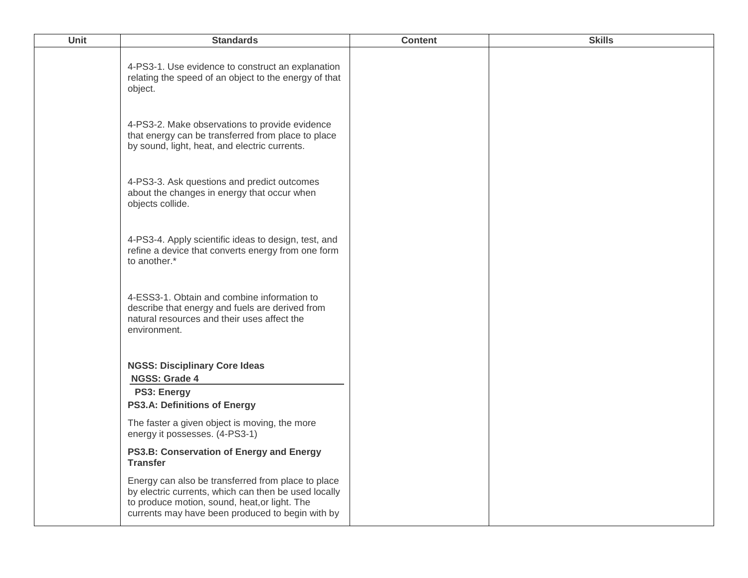| Unit | <b>Standards</b>                                                                                                                                                                                                | <b>Content</b> | <b>Skills</b> |
|------|-----------------------------------------------------------------------------------------------------------------------------------------------------------------------------------------------------------------|----------------|---------------|
|      | 4-PS3-1. Use evidence to construct an explanation<br>relating the speed of an object to the energy of that<br>object.                                                                                           |                |               |
|      | 4-PS3-2. Make observations to provide evidence<br>that energy can be transferred from place to place<br>by sound, light, heat, and electric currents.                                                           |                |               |
|      | 4-PS3-3. Ask questions and predict outcomes<br>about the changes in energy that occur when<br>objects collide.                                                                                                  |                |               |
|      | 4-PS3-4. Apply scientific ideas to design, test, and<br>refine a device that converts energy from one form<br>to another.*                                                                                      |                |               |
|      | 4-ESS3-1. Obtain and combine information to<br>describe that energy and fuels are derived from<br>natural resources and their uses affect the<br>environment.                                                   |                |               |
|      | <b>NGSS: Disciplinary Core Ideas</b><br><b>NGSS: Grade 4</b>                                                                                                                                                    |                |               |
|      | <b>PS3: Energy</b><br><b>PS3.A: Definitions of Energy</b>                                                                                                                                                       |                |               |
|      | The faster a given object is moving, the more<br>energy it possesses. (4-PS3-1)                                                                                                                                 |                |               |
|      | PS3.B: Conservation of Energy and Energy<br><b>Transfer</b>                                                                                                                                                     |                |               |
|      | Energy can also be transferred from place to place<br>by electric currents, which can then be used locally<br>to produce motion, sound, heat, or light. The<br>currents may have been produced to begin with by |                |               |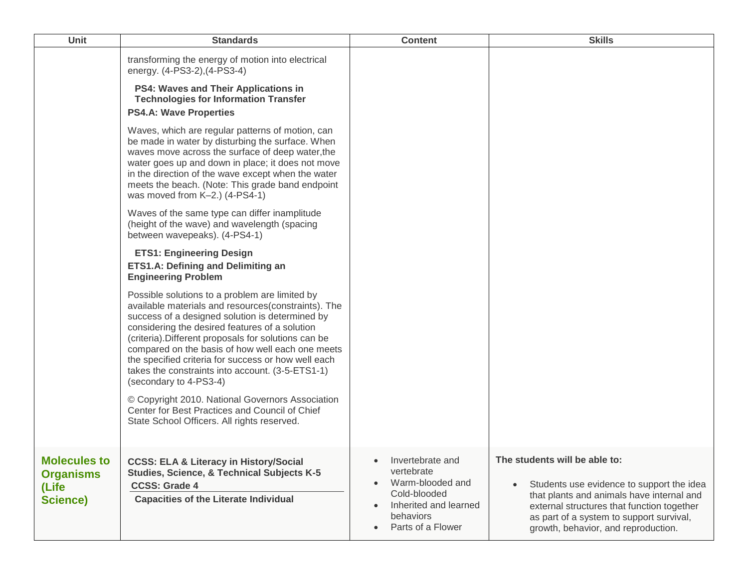| <b>Unit</b>                                                         | <b>Standards</b>                                                                                                                                                                                                                                                                                                                                                                                                                                            | <b>Content</b>                                                                                                                                                                    | <b>Skills</b>                                                                                                                                                                                                                                            |
|---------------------------------------------------------------------|-------------------------------------------------------------------------------------------------------------------------------------------------------------------------------------------------------------------------------------------------------------------------------------------------------------------------------------------------------------------------------------------------------------------------------------------------------------|-----------------------------------------------------------------------------------------------------------------------------------------------------------------------------------|----------------------------------------------------------------------------------------------------------------------------------------------------------------------------------------------------------------------------------------------------------|
|                                                                     | transforming the energy of motion into electrical<br>energy. (4-PS3-2), (4-PS3-4)                                                                                                                                                                                                                                                                                                                                                                           |                                                                                                                                                                                   |                                                                                                                                                                                                                                                          |
|                                                                     | PS4: Waves and Their Applications in<br><b>Technologies for Information Transfer</b><br><b>PS4.A: Wave Properties</b>                                                                                                                                                                                                                                                                                                                                       |                                                                                                                                                                                   |                                                                                                                                                                                                                                                          |
|                                                                     | Waves, which are regular patterns of motion, can<br>be made in water by disturbing the surface. When<br>waves move across the surface of deep water, the<br>water goes up and down in place; it does not move<br>in the direction of the wave except when the water<br>meets the beach. (Note: This grade band endpoint<br>was moved from K-2.) (4-PS4-1)                                                                                                   |                                                                                                                                                                                   |                                                                                                                                                                                                                                                          |
|                                                                     | Waves of the same type can differ inamplitude<br>(height of the wave) and wavelength (spacing<br>between wavepeaks). (4-PS4-1)                                                                                                                                                                                                                                                                                                                              |                                                                                                                                                                                   |                                                                                                                                                                                                                                                          |
|                                                                     | <b>ETS1: Engineering Design</b><br><b>ETS1.A: Defining and Delimiting an</b><br><b>Engineering Problem</b>                                                                                                                                                                                                                                                                                                                                                  |                                                                                                                                                                                   |                                                                                                                                                                                                                                                          |
|                                                                     | Possible solutions to a problem are limited by<br>available materials and resources(constraints). The<br>success of a designed solution is determined by<br>considering the desired features of a solution<br>(criteria). Different proposals for solutions can be<br>compared on the basis of how well each one meets<br>the specified criteria for success or how well each<br>takes the constraints into account. (3-5-ETS1-1)<br>(secondary to 4-PS3-4) |                                                                                                                                                                                   |                                                                                                                                                                                                                                                          |
|                                                                     | © Copyright 2010. National Governors Association<br>Center for Best Practices and Council of Chief<br>State School Officers. All rights reserved.                                                                                                                                                                                                                                                                                                           |                                                                                                                                                                                   |                                                                                                                                                                                                                                                          |
| <b>Molecules to</b><br><b>Organisms</b><br>(Life<br><b>Science)</b> | <b>CCSS: ELA &amp; Literacy in History/Social</b><br>Studies, Science, & Technical Subjects K-5<br><b>CCSS: Grade 4</b><br><b>Capacities of the Literate Individual</b>                                                                                                                                                                                                                                                                                     | Invertebrate and<br>$\bullet$<br>vertebrate<br>Warm-blooded and<br>$\bullet$<br>Cold-blooded<br>Inherited and learned<br>$\bullet$<br>behaviors<br>Parts of a Flower<br>$\bullet$ | The students will be able to:<br>Students use evidence to support the idea<br>that plants and animals have internal and<br>external structures that function together<br>as part of a system to support survival,<br>growth, behavior, and reproduction. |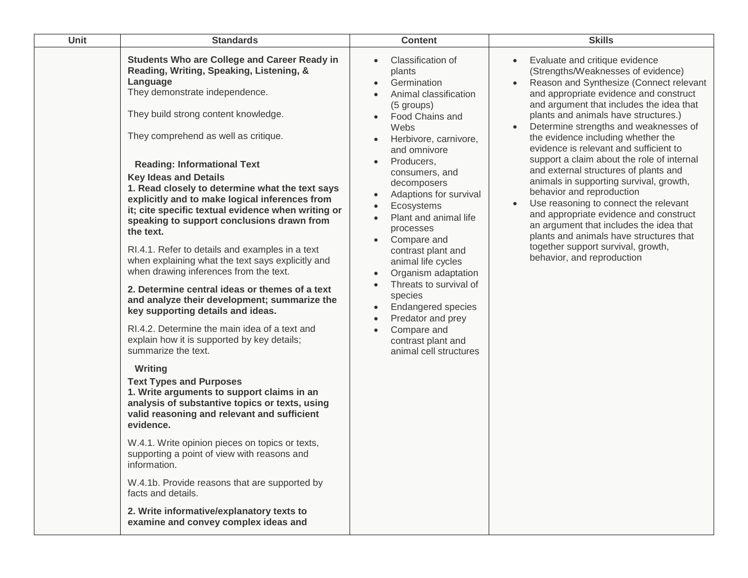| Unit | <b>Standards</b>                                                                                                                                                                                                                                                                                                                                                                                                                                                                                                                                                                                                                                                                                                                                                                                                                                                                                                                                                                                                                                                                                                                                                                                                                                                                                                                                                                                                          | <b>Content</b>                                                                                                                                                                                                                                                                                                                                                                                                                                                                                                                                                                                                                                  | <b>Skills</b>                                                                                                                                                                                                                                                                                                                                                                                                                                                                                                                                                                                                                                                                                                                                                                                                                          |
|------|---------------------------------------------------------------------------------------------------------------------------------------------------------------------------------------------------------------------------------------------------------------------------------------------------------------------------------------------------------------------------------------------------------------------------------------------------------------------------------------------------------------------------------------------------------------------------------------------------------------------------------------------------------------------------------------------------------------------------------------------------------------------------------------------------------------------------------------------------------------------------------------------------------------------------------------------------------------------------------------------------------------------------------------------------------------------------------------------------------------------------------------------------------------------------------------------------------------------------------------------------------------------------------------------------------------------------------------------------------------------------------------------------------------------------|-------------------------------------------------------------------------------------------------------------------------------------------------------------------------------------------------------------------------------------------------------------------------------------------------------------------------------------------------------------------------------------------------------------------------------------------------------------------------------------------------------------------------------------------------------------------------------------------------------------------------------------------------|----------------------------------------------------------------------------------------------------------------------------------------------------------------------------------------------------------------------------------------------------------------------------------------------------------------------------------------------------------------------------------------------------------------------------------------------------------------------------------------------------------------------------------------------------------------------------------------------------------------------------------------------------------------------------------------------------------------------------------------------------------------------------------------------------------------------------------------|
|      | Students Who are College and Career Ready in<br>Reading, Writing, Speaking, Listening, &<br>Language<br>They demonstrate independence.<br>They build strong content knowledge.<br>They comprehend as well as critique.<br><b>Reading: Informational Text</b><br><b>Key Ideas and Details</b><br>1. Read closely to determine what the text says<br>explicitly and to make logical inferences from<br>it; cite specific textual evidence when writing or<br>speaking to support conclusions drawn from<br>the text.<br>RI.4.1. Refer to details and examples in a text<br>when explaining what the text says explicitly and<br>when drawing inferences from the text.<br>2. Determine central ideas or themes of a text<br>and analyze their development; summarize the<br>key supporting details and ideas.<br>RI.4.2. Determine the main idea of a text and<br>explain how it is supported by key details;<br>summarize the text.<br>Writing<br><b>Text Types and Purposes</b><br>1. Write arguments to support claims in an<br>analysis of substantive topics or texts, using<br>valid reasoning and relevant and sufficient<br>evidence.<br>W.4.1. Write opinion pieces on topics or texts,<br>supporting a point of view with reasons and<br>information.<br>W.4.1b. Provide reasons that are supported by<br>facts and details.<br>2. Write informative/explanatory texts to<br>examine and convey complex ideas and | Classification of<br>$\bullet$<br>plants<br>Germination<br>Animal classification<br>$\bullet$<br>(5 groups)<br>Food Chains and<br>$\bullet$<br>Webs<br>Herbivore, carnivore,<br>$\bullet$<br>and omnivore<br>Producers,<br>$\bullet$<br>consumers, and<br>decomposers<br>Adaptions for survival<br>Ecosystems<br>$\bullet$<br>Plant and animal life<br>processes<br>Compare and<br>$\bullet$<br>contrast plant and<br>animal life cycles<br>Organism adaptation<br>Threats to survival of<br>species<br><b>Endangered species</b><br>$\bullet$<br>Predator and prey<br>$\bullet$<br>Compare and<br>contrast plant and<br>animal cell structures | Evaluate and critique evidence<br>$\bullet$<br>(Strengths/Weaknesses of evidence)<br>Reason and Synthesize (Connect relevant<br>$\bullet$<br>and appropriate evidence and construct<br>and argument that includes the idea that<br>plants and animals have structures.)<br>Determine strengths and weaknesses of<br>$\bullet$<br>the evidence including whether the<br>evidence is relevant and sufficient to<br>support a claim about the role of internal<br>and external structures of plants and<br>animals in supporting survival, growth,<br>behavior and reproduction<br>Use reasoning to connect the relevant<br>$\bullet$<br>and appropriate evidence and construct<br>an argument that includes the idea that<br>plants and animals have structures that<br>together support survival, growth,<br>behavior, and reproduction |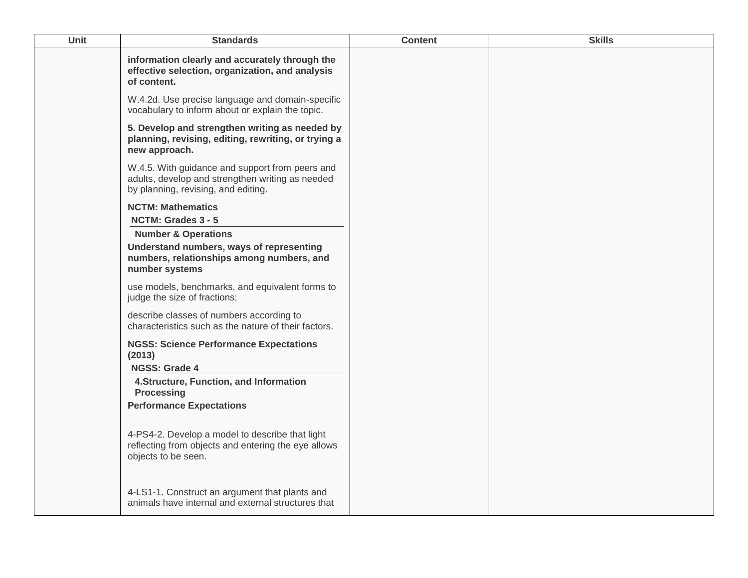| Unit | <b>Standards</b>                                                                                                                           | <b>Content</b> | <b>Skills</b> |
|------|--------------------------------------------------------------------------------------------------------------------------------------------|----------------|---------------|
|      | information clearly and accurately through the<br>effective selection, organization, and analysis<br>of content.                           |                |               |
|      | W.4.2d. Use precise language and domain-specific<br>vocabulary to inform about or explain the topic.                                       |                |               |
|      | 5. Develop and strengthen writing as needed by<br>planning, revising, editing, rewriting, or trying a<br>new approach.                     |                |               |
|      | W.4.5. With guidance and support from peers and<br>adults, develop and strengthen writing as needed<br>by planning, revising, and editing. |                |               |
|      | <b>NCTM: Mathematics</b><br>NCTM: Grades 3 - 5                                                                                             |                |               |
|      | <b>Number &amp; Operations</b>                                                                                                             |                |               |
|      | Understand numbers, ways of representing<br>numbers, relationships among numbers, and<br>number systems                                    |                |               |
|      | use models, benchmarks, and equivalent forms to<br>judge the size of fractions;                                                            |                |               |
|      | describe classes of numbers according to<br>characteristics such as the nature of their factors.                                           |                |               |
|      | <b>NGSS: Science Performance Expectations</b><br>(2013)<br>NGSS: Grade 4                                                                   |                |               |
|      | 4. Structure, Function, and Information<br><b>Processing</b>                                                                               |                |               |
|      | <b>Performance Expectations</b>                                                                                                            |                |               |
|      | 4-PS4-2. Develop a model to describe that light<br>reflecting from objects and entering the eye allows<br>objects to be seen.              |                |               |
|      | 4-LS1-1. Construct an argument that plants and<br>animals have internal and external structures that                                       |                |               |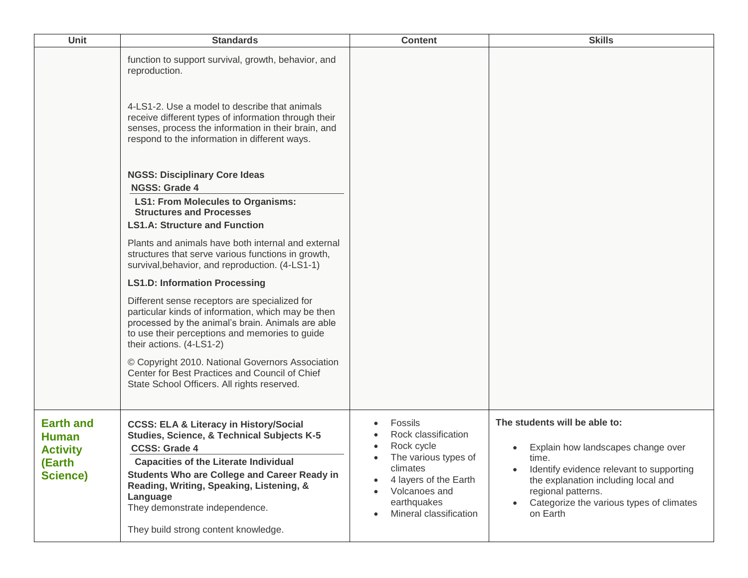| Unit                                                                      | <b>Standards</b>                                                                                                                                                                                                                                                                                                                                                            | <b>Content</b>                                                                                                                                                                                | <b>Skills</b>                                                                                                                                                                                                                                 |
|---------------------------------------------------------------------------|-----------------------------------------------------------------------------------------------------------------------------------------------------------------------------------------------------------------------------------------------------------------------------------------------------------------------------------------------------------------------------|-----------------------------------------------------------------------------------------------------------------------------------------------------------------------------------------------|-----------------------------------------------------------------------------------------------------------------------------------------------------------------------------------------------------------------------------------------------|
|                                                                           | function to support survival, growth, behavior, and<br>reproduction.<br>4-LS1-2. Use a model to describe that animals<br>receive different types of information through their<br>senses, process the information in their brain, and<br>respond to the information in different ways.                                                                                       |                                                                                                                                                                                               |                                                                                                                                                                                                                                               |
|                                                                           | <b>NGSS: Disciplinary Core Ideas</b><br><b>NGSS: Grade 4</b><br><b>LS1: From Molecules to Organisms:</b><br><b>Structures and Processes</b><br><b>LS1.A: Structure and Function</b>                                                                                                                                                                                         |                                                                                                                                                                                               |                                                                                                                                                                                                                                               |
|                                                                           | Plants and animals have both internal and external<br>structures that serve various functions in growth,<br>survival, behavior, and reproduction. (4-LS1-1)                                                                                                                                                                                                                 |                                                                                                                                                                                               |                                                                                                                                                                                                                                               |
|                                                                           | <b>LS1.D: Information Processing</b>                                                                                                                                                                                                                                                                                                                                        |                                                                                                                                                                                               |                                                                                                                                                                                                                                               |
|                                                                           | Different sense receptors are specialized for<br>particular kinds of information, which may be then<br>processed by the animal's brain. Animals are able<br>to use their perceptions and memories to guide<br>their actions. (4-LS1-2)                                                                                                                                      |                                                                                                                                                                                               |                                                                                                                                                                                                                                               |
|                                                                           | © Copyright 2010. National Governors Association<br>Center for Best Practices and Council of Chief<br>State School Officers. All rights reserved.                                                                                                                                                                                                                           |                                                                                                                                                                                               |                                                                                                                                                                                                                                               |
| <b>Earth and</b><br><b>Human</b><br><b>Activity</b><br>(Earth<br>Science) | <b>CCSS: ELA &amp; Literacy in History/Social</b><br><b>Studies, Science, &amp; Technical Subjects K-5</b><br><b>CCSS: Grade 4</b><br><b>Capacities of the Literate Individual</b><br><b>Students Who are College and Career Ready in</b><br>Reading, Writing, Speaking, Listening, &<br>Language<br>They demonstrate independence.<br>They build strong content knowledge. | Fossils<br>Rock classification<br>Rock cycle<br>$\bullet$<br>The various types of<br>climates<br>4 layers of the Earth<br>Volcanoes and<br>earthquakes<br>Mineral classification<br>$\bullet$ | The students will be able to:<br>Explain how landscapes change over<br>time.<br>Identify evidence relevant to supporting<br>the explanation including local and<br>regional patterns.<br>Categorize the various types of climates<br>on Earth |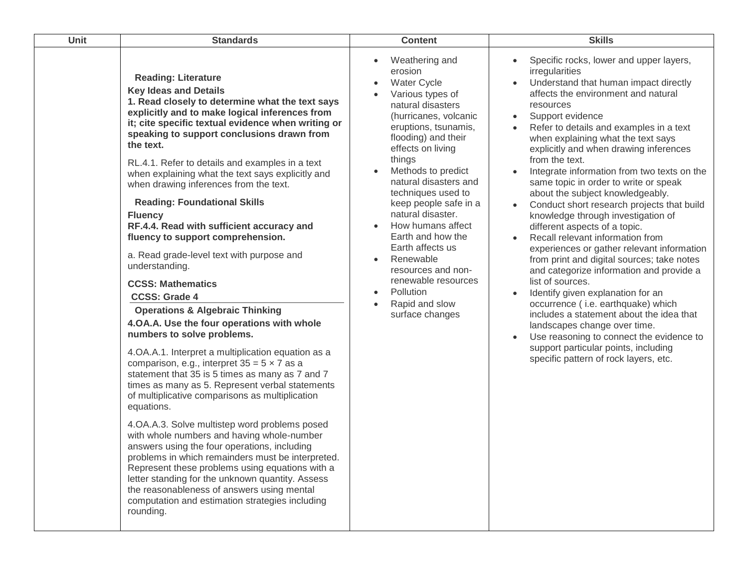| Unit | <b>Standards</b>                                                                                                                                                                                                                                                                                                                                                                                                                                                                                                                                                                                                                                                                                                                                                                                                                                                                                                                                                                                                                                                                                                                                                                                                                                                                                                                                                                                                                                                                                                                       | <b>Content</b>                                                                                                                                                                                                                                                                                                                                                                                                                                                                                                                                   | <b>Skills</b>                                                                                                                                                                                                                                                                                                                                                                                                                                                                                                                                                                                                                                                                                                                                                                                                                                                                                                                                                                                                                                                             |
|------|----------------------------------------------------------------------------------------------------------------------------------------------------------------------------------------------------------------------------------------------------------------------------------------------------------------------------------------------------------------------------------------------------------------------------------------------------------------------------------------------------------------------------------------------------------------------------------------------------------------------------------------------------------------------------------------------------------------------------------------------------------------------------------------------------------------------------------------------------------------------------------------------------------------------------------------------------------------------------------------------------------------------------------------------------------------------------------------------------------------------------------------------------------------------------------------------------------------------------------------------------------------------------------------------------------------------------------------------------------------------------------------------------------------------------------------------------------------------------------------------------------------------------------------|--------------------------------------------------------------------------------------------------------------------------------------------------------------------------------------------------------------------------------------------------------------------------------------------------------------------------------------------------------------------------------------------------------------------------------------------------------------------------------------------------------------------------------------------------|---------------------------------------------------------------------------------------------------------------------------------------------------------------------------------------------------------------------------------------------------------------------------------------------------------------------------------------------------------------------------------------------------------------------------------------------------------------------------------------------------------------------------------------------------------------------------------------------------------------------------------------------------------------------------------------------------------------------------------------------------------------------------------------------------------------------------------------------------------------------------------------------------------------------------------------------------------------------------------------------------------------------------------------------------------------------------|
|      | <b>Reading: Literature</b><br><b>Key Ideas and Details</b><br>1. Read closely to determine what the text says<br>explicitly and to make logical inferences from<br>it; cite specific textual evidence when writing or<br>speaking to support conclusions drawn from<br>the text.<br>RL.4.1. Refer to details and examples in a text<br>when explaining what the text says explicitly and<br>when drawing inferences from the text.<br><b>Reading: Foundational Skills</b><br><b>Fluency</b><br>RF.4.4. Read with sufficient accuracy and<br>fluency to support comprehension.<br>a. Read grade-level text with purpose and<br>understanding.<br><b>CCSS: Mathematics</b><br><b>CCSS: Grade 4</b><br><b>Operations &amp; Algebraic Thinking</b><br>4.OA.A. Use the four operations with whole<br>numbers to solve problems.<br>4.OA.A.1. Interpret a multiplication equation as a<br>comparison, e.g., interpret $35 = 5 \times 7$ as a<br>statement that 35 is 5 times as many as 7 and 7<br>times as many as 5. Represent verbal statements<br>of multiplicative comparisons as multiplication<br>equations.<br>4.OA.A.3. Solve multistep word problems posed<br>with whole numbers and having whole-number<br>answers using the four operations, including<br>problems in which remainders must be interpreted.<br>Represent these problems using equations with a<br>letter standing for the unknown quantity. Assess<br>the reasonableness of answers using mental<br>computation and estimation strategies including<br>rounding. | Weathering and<br>$\bullet$<br>erosion<br><b>Water Cycle</b><br>$\bullet$<br>Various types of<br>natural disasters<br>(hurricanes, volcanic<br>eruptions, tsunamis,<br>flooding) and their<br>effects on living<br>things<br>Methods to predict<br>natural disasters and<br>techniques used to<br>keep people safe in a<br>natural disaster.<br>How humans affect<br>$\bullet$<br>Earth and how the<br>Earth affects us<br>Renewable<br>resources and non-<br>renewable resources<br>Pollution<br>$\bullet$<br>Rapid and slow<br>surface changes | Specific rocks, lower and upper layers,<br>irregularities<br>Understand that human impact directly<br>affects the environment and natural<br>resources<br>Support evidence<br>$\bullet$<br>Refer to details and examples in a text<br>when explaining what the text says<br>explicitly and when drawing inferences<br>from the text.<br>Integrate information from two texts on the<br>same topic in order to write or speak<br>about the subject knowledgeably.<br>Conduct short research projects that build<br>knowledge through investigation of<br>different aspects of a topic.<br>Recall relevant information from<br>experiences or gather relevant information<br>from print and digital sources; take notes<br>and categorize information and provide a<br>list of sources.<br>Identify given explanation for an<br>occurrence (i.e. earthquake) which<br>includes a statement about the idea that<br>landscapes change over time.<br>Use reasoning to connect the evidence to<br>support particular points, including<br>specific pattern of rock layers, etc. |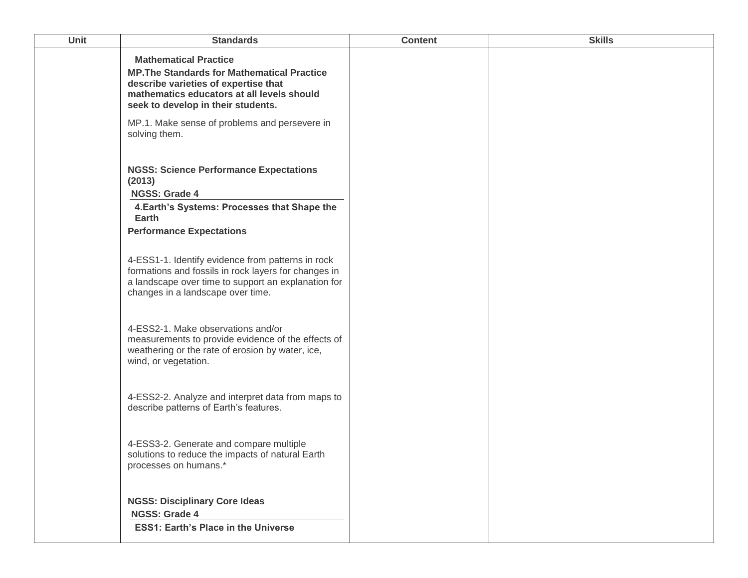| <b>Unit</b> | <b>Standards</b>                                                                                                                                                                                                                                                | <b>Content</b> | <b>Skills</b> |
|-------------|-----------------------------------------------------------------------------------------------------------------------------------------------------------------------------------------------------------------------------------------------------------------|----------------|---------------|
|             | <b>Mathematical Practice</b><br><b>MP. The Standards for Mathematical Practice</b><br>describe varieties of expertise that<br>mathematics educators at all levels should<br>seek to develop in their students.<br>MP.1. Make sense of problems and persevere in |                |               |
|             | solving them.<br><b>NGSS: Science Performance Expectations</b><br>(2013)<br><b>NGSS: Grade 4</b><br>4. Earth's Systems: Processes that Shape the                                                                                                                |                |               |
|             | Earth<br><b>Performance Expectations</b>                                                                                                                                                                                                                        |                |               |
|             | 4-ESS1-1. Identify evidence from patterns in rock<br>formations and fossils in rock layers for changes in<br>a landscape over time to support an explanation for<br>changes in a landscape over time.                                                           |                |               |
|             | 4-ESS2-1. Make observations and/or<br>measurements to provide evidence of the effects of<br>weathering or the rate of erosion by water, ice,<br>wind, or vegetation.                                                                                            |                |               |
|             | 4-ESS2-2. Analyze and interpret data from maps to<br>describe patterns of Earth's features.                                                                                                                                                                     |                |               |
|             | 4-ESS3-2. Generate and compare multiple<br>solutions to reduce the impacts of natural Earth<br>processes on humans.*                                                                                                                                            |                |               |
|             | <b>NGSS: Disciplinary Core Ideas</b><br><b>NGSS: Grade 4</b><br><b>ESS1: Earth's Place in the Universe</b>                                                                                                                                                      |                |               |
|             |                                                                                                                                                                                                                                                                 |                |               |